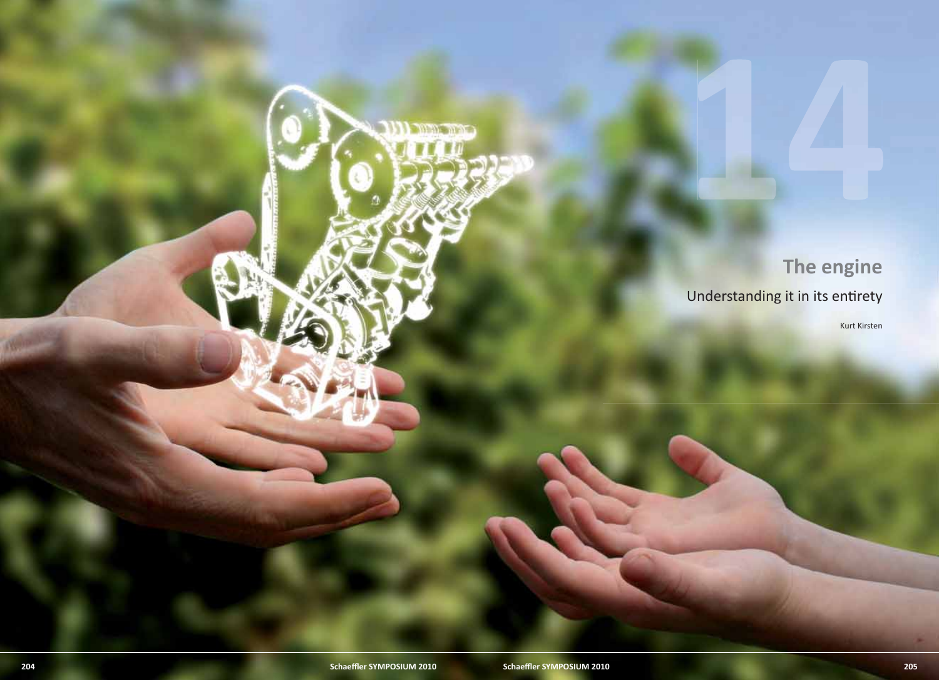The engine<br>Dinderstanding it in its entirety<br>and the control of the control of the control of the control of the control of the control of the control of the control of the control of the control of the control of the cont Understanding it in its entirety

Kurt Kirsten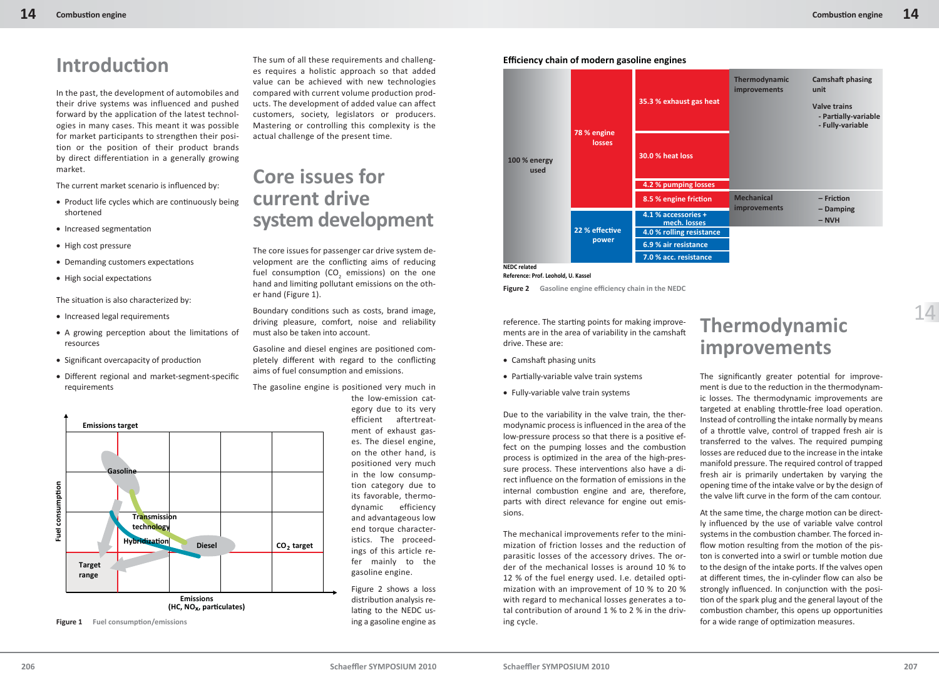**Camshaft phasing** 

**Valve trains**

**unit**

# **Introducti on**

In the past, the development of automobiles and their drive systems was influenced and pushed forward by the application of the latest technologies in many cases. This meant it was possible for market participants to strengthen their position or the position of their product brands by direct differentiation in a generally growing market.

The current market scenario is influenced by:

- Product life cycles which are continuously being shortened
- Increased segmentation
- High cost pressure
- Demanding customers expectations
- High social expectations

The situation is also characterized by:

- Increased legal requirements
- A growing perception about the limitations of resources
- Significant overcapacity of production
- Different regional and market-segment-specific requirements



**Figure 1** Fuel consumption/emissions

The sum of all these requirements and challenges requires a holistic approach so that added value can be achieved with new technologies compared with current volume production products. The development of added value can affect customers, society, legislators or producers. Mastering or controlling this complexity is the actual challenge of the present time.

## **Core issues for current drive system development**

The core issues for passenger car drive system development are the conflicting aims of reducing fuel consumption (CO<sub>2</sub> emissions) on the one hand and limiting pollutant emissions on the other hand (Figure 1).

Boundary conditions such as costs, brand image, driving pleasure, comfort, noise and reliability must also be taken into account.

Gasoline and diesel engines are positioned completely different with regard to the conflicting aims of fuel consumption and emissions.

The gasoline engine is positioned very much in the low-emission cat-

egory due to its very efficient aftertreatment of exhaust gases. The diesel engine, on the other hand, is positioned very much in the low consumption category due to its favorable, thermodynamic efficiency and advantageous low end torque characteristics. The proceedings of this article refer mainly to the gasoline engine.

Figure 2 shows a loss distribution analysis relating to the NEDC using a gasoline engine as



**Efficiency chain of modern gasoline engines**



**NEDC related**

**Reference: Prof. Leohold, U. Kassel**

**Figure 2** Gasoline engine efficiency chain in the NEDC

reference. The starting points for making improvements are in the area of variability in the camshaft drive. These are:

- Camshaft phasing units
- Partially-variable valve train systems
- Fully-variable valve train systems

Due to the variability in the valve train, the thermodynamic process is influenced in the area of the low-pressure process so that there is a positive effect on the pumping losses and the combustion process is optimized in the area of the high-pressure process. These interventions also have a direct influence on the formation of emissions in the internal combustion engine and are, therefore, parts with direct relevance for engine out emissions.

The mechanical improvements refer to the minimization of friction losses and the reduction of parasitic losses of the accessory drives. The order of the mechanical losses is around 10 % to 12 % of the fuel energy used. I.e. detailed optimization with an improvement of 10 % to 20 % with regard to mechanical losses generates a total contribution of around 1 % to 2 % in the driving cycle.

## **Thermodynamic improvements**

**Thermodynamic improvements** 

The significantly greater potential for improvement is due to the reduction in the thermodynamic losses. The thermodynamic improvements are targeted at enabling throttle-free load operation. Instead of controlling the intake normally by means of a throttle valve, control of trapped fresh air is transferred to the valves. The required pumping losses are reduced due to the increase in the intake manifold pressure. The required control of trapped fresh air is primarily undertaken by varying the opening time of the intake valve or by the design of the valve lift curve in the form of the cam contour.

At the same time, the charge motion can be direct-Iv influenced by the use of variable valve control systems in the combustion chamber. The forced inflow motion resulting from the motion of the piston is converted into a swirl or tumble motion due to the design of the intake ports. If the valves open at different times, the in-cylinder flow can also be strongly influenced. In conjunction with the position of the spark plug and the general layout of the combustion chamber, this opens up opportunities for a wide range of optimization measures.

14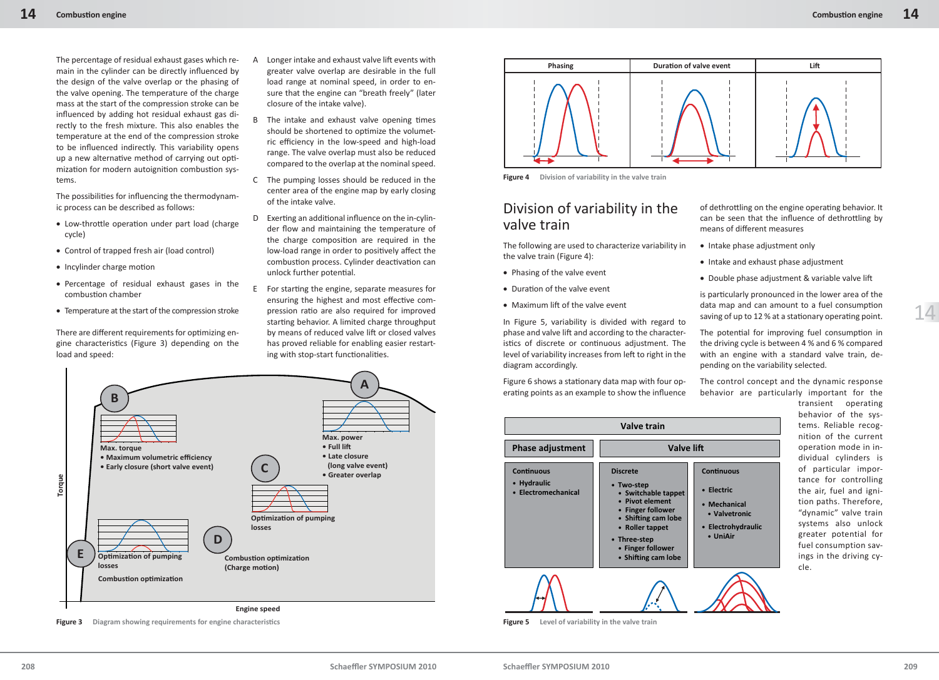The percentage of residual exhaust gases which remain in the cylinder can be directly influenced by the design of the valve overlap or the phasing of the valve opening. The temperature of the charge mass at the start of the compression stroke can be influenced by adding hot residual exhaust gas directly to the fresh mixture. This also enables the temperature at the end of the compression stroke to be influenced indirectly. This variability opens up a new alternative method of carrying out optimization for modern autoignition combustion systems.

The possibilities for influencing the thermodynamic process can be described as follows:

- Low-throttle operation under part load (charge cycle)
- Control of trapped fresh air (load control)
- Incylinder charge motion
- Percentage of residual exhaust gases in the combustion chamber
- Temperature at the start of the compression stroke

There are different requirements for optimizing engine characteristics (Figure 3) depending on the load and speed:



- B The intake and exhaust valve opening times should be shortened to optimize the volumetric efficiency in the low-speed and high-load range. The valve overlap must also be reduced compared to the overlap at the nominal speed.
- C The pumping losses should be reduced in the center area of the engine map by early closing of the intake valve.
- D Exerting an additional influence on the in-cylinder flow and maintaining the temperature of the charge composition are required in the low-load range in order to positively affect the combustion process. Cylinder deactivation can unlock further potential.
- E For starting the engine, separate measures for ensuring the highest and most effective compression ratio are also required for improved starting behavior. A limited charge throughput by means of reduced valve lift or closed valves has proved reliable for enabling easier restarting with stop-start functionalities.



**Figure 3** Diagram showing requirements for engine characteristics



**Figure 4 Division of variability in the valve train**

#### Division of variability in the valve train

The following are used to characterize variability in the valve train (Figure 4):

- Phasing of the valve event
- $\bullet$  Duration of the valve event
- Maximum lift of the valve event

In Figure 5, variability is divided with regard to phase and valve lift and according to the characteristics of discrete or continuous adjustment. The level of variability increases from left to right in the diagram accordingly.

Figure 6 shows a stationary data map with four operating points as an example to show the influence

| <b>Valve train</b>                                      |                                                                                                                                                                                                    |                                                                                                    |  |  |  |  |  |
|---------------------------------------------------------|----------------------------------------------------------------------------------------------------------------------------------------------------------------------------------------------------|----------------------------------------------------------------------------------------------------|--|--|--|--|--|
| <b>Phase adjustment</b>                                 | <b>Valve lift</b>                                                                                                                                                                                  |                                                                                                    |  |  |  |  |  |
| <b>Continuous</b><br>• Hydraulic<br>• Electromechanical | <b>Discrete</b><br>• Two-step<br>• Switchable tappet<br>• Pivot element<br>• Finger follower<br>• Shifting cam lobe<br>• Roller tappet<br>• Three-step<br>• Finger follower<br>• Shifting cam lobe | <b>Continuous</b><br>• Electric<br>• Mechanical<br>• Valvetronic<br>• Electrohydraulic<br>• UniAir |  |  |  |  |  |
|                                                         |                                                                                                                                                                                                    |                                                                                                    |  |  |  |  |  |

**Figure 5 Level of variability in the valve train**

of dethrottling on the engine operating behavior. It can be seen that the influence of dethrottling by means of different measures

- Intake phase adjustment only
- Intake and exhaust phase adjustment
- Double phase adjustment & variable valve lift

is particularly pronounced in the lower area of the data map and can amount to a fuel consumption saving of up to 12 % at a stationary operating point.

The potential for improving fuel consumption in the driving cycle is between 4 % and 6 % compared with an engine with a standard valve train, depending on the variability selected.

The control concept and the dynamic response behavior are particularly important for the

> transient operating behavior of the systems. Reliable recognition of the current operation mode in individual cylinders is of particular importance for controlling the air, fuel and ignition paths. Therefore, "dynamic" valve train systems also unlock greater potential for fuel consumption savings in the driving cycle.

14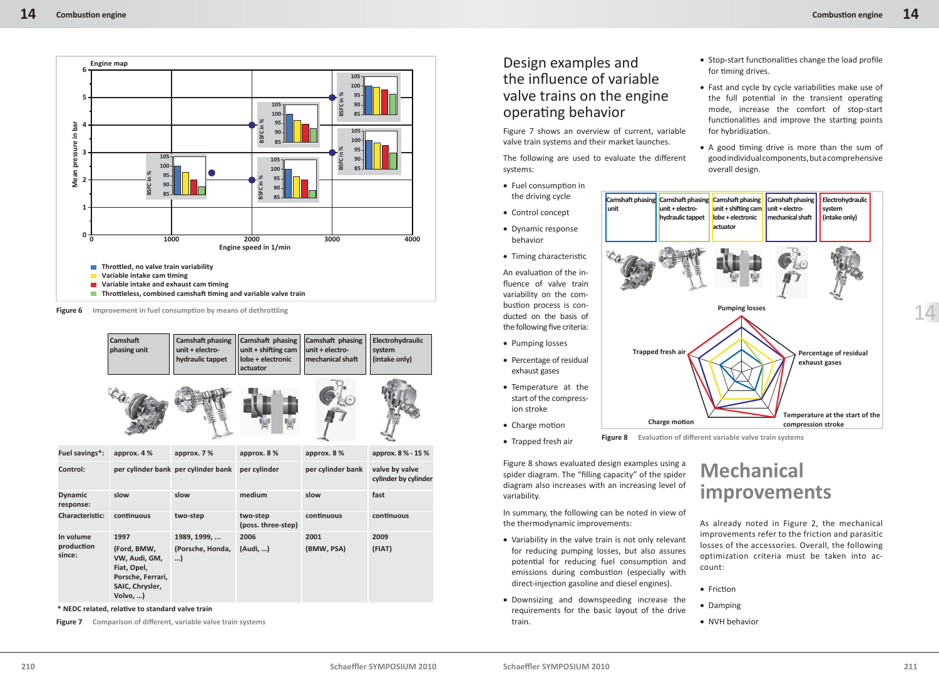

**Figure 6** Improvement in fuel consumption by means of dethrottling

|                             | <b>Camshaft</b><br>phasing unit                                                               | <b>Camshaft phasing</b><br>unit + electro-<br>hydraulic tappet | Camshaft phasing<br>unit + shifting cam<br>lobe + electronic<br>actuator | Camshaft phasing<br>unit + electro-<br>mechanical shaft | Electrohydraulic<br>system<br>(intake only) |
|-----------------------------|-----------------------------------------------------------------------------------------------|----------------------------------------------------------------|--------------------------------------------------------------------------|---------------------------------------------------------|---------------------------------------------|
|                             |                                                                                               |                                                                |                                                                          |                                                         |                                             |
| Fuel savings*:              | approx. 4 %                                                                                   | approx. 7%                                                     | approx. 8 %                                                              | approx. 8 %                                             | approx. 8 % - 15 %                          |
| Control:                    |                                                                                               | per cylinder bank per cylinder bank                            | per cylinder                                                             | per cylinder bank                                       | valve by valve<br>cylinder by cylinder      |
| <b>Dynamic</b><br>response: | slow                                                                                          | slow                                                           | medium                                                                   | slow                                                    | fast                                        |
| <b>Characteristic:</b>      | continuous                                                                                    | two-step                                                       | two-step<br>(poss. three-step)                                           | continuous                                              | continuous                                  |
| In volume                   | 1997                                                                                          | 1989, 1999,                                                    | 2006                                                                     | 2001                                                    | 2009                                        |
| production<br>since:        | (Ford, BMW,<br>VW, Audi, GM,<br>Fiat, Opel,<br>Porsche, Ferrari,<br>SAIC, Chrysler,<br>Volvo, | (Porsche, Honda,<br>)                                          | (Audi, )                                                                 | (BMW, PSA)                                              | (FIAT)                                      |

 $*$  NEDC related, relative to standard valve train

**Figure 7** Comparison of different, variable valve train systems

### Design examples and the influence of variable valve trains on the engine operating behavior

Figure 7 shows an overview of current, variable valve train systems and their market launches.

The following are used to evaluate the different systems:

- Fuel consumption in the driving cycle
- Control concept
- Dynamic response behavior
- Timing characteristic

An evaluation of the influence of valve train variability on the combustion process is conducted on the basis of the following five criteria:

- Pumping losses
- Percentage of residual exhaust gases
- Temperature at the start of the compression stroke
- Charge motion
- Trapped fresh air

Figure 8 shows evaluated design examples using a spider diagram. The "filling capacity" of the spider diagram also increases with an increasing level of variability.

In summary, the following can be noted in view of the thermodynamic improvements:

- Variability in the valve train is not only relevant for reducing pumping losses, but also assures potential for reducing fuel consumption and emissions during combustion (especially with direct-injection gasoline and diesel engines).
- Downsizing and downspeeding increase the requirements for the basic layout of the drive train.
- $\bullet$  Stop-start functionalities change the load profile for timing drives.
- Fast and cycle by cycle variabilities make use of the full potential in the transient operating mode, increase the comfort of stop-start functionalities and improve the starting points for hybridization.
- A good timing drive is more than the sum of good individual components, but a comprehensive overall design.



14

**Figure 8** Evaluation of different variable valve train systems

## **Mechanical improvements**

As already noted in Figure 2, the mechanical improvements refer to the friction and parasitic losses of the accessories. Overall, the following optimization criteria must be taken into account:

- Friction
- Damping
- NVH behavior